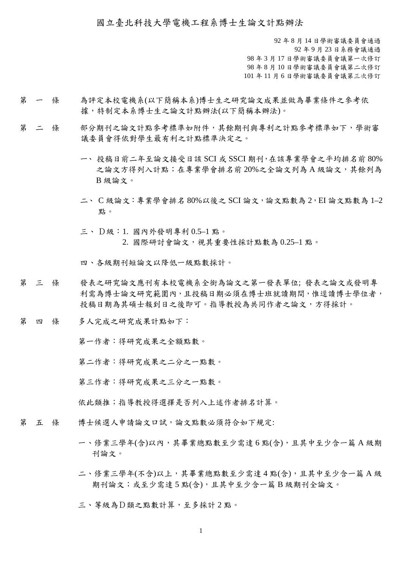國立臺北科技大學電機工程系博士生論文計點辦法

 年 8 月 14 日學術審議委員會通過 年 9 月 23 日系務會議通過 年 3 月 17 日學術審議委員會議第一次修訂 年 8 月 10 日學術審議委員會議第二次修訂 年 11 月 6 日學術審議委員會議第三次修訂

- 第 一 條 為評定本校電機系(以下簡稱本系)博士生之研究論文成果並做為畢業條件之參考依 據,特制定本系博士生之論文計點辦法(以下簡稱本辦法)。
- 第 二 條 部分期刊之論文計點參考標準如附件,其餘期刊與專利之計點參考標準如下,學術審 議委員會得依對學生最有利之計點標準決定之。
	- 一、 投稿日前二年至論文接受日該 SCI 或 SSCI 期刊,在該專業學會之平均排名前 80% 之論文方得列入計點;在專業學會排名前 20%之全論文列為 A 級論文,其餘列為 B 級論文。
	- 二、 C 級論文:專業學會排名 80%以後之 SCI 論文,論文點數為 2,EI 論文點數為 1–2 點。
	- 三、 D級:1. 國內外發明專利 0.5–1 點。 2. 國際研討會論文,視其重要性採計點數為 0.25–1 點。

四、各級期刊短論文以降低一級點數採計。

- 第 三 條 發表之研究論文應刊有本校電機系全銜為論文之第一發表單位; 發表之論文或發明專 利需為博士論文研究範圍內,且投稿日期必須在博士班就讀期間,惟逕讀博士學位者, 投稿日期為其碩士報到日之後即可。指導教授為共同作者之論文,方得採計。
- 第 四 條 多人完成之研究成果計點如下:

第一作者:得研究成果之全額點數。

第二作者:得研究成果之二分之一點數。

第三作者:得研究成果之三分之一點數。

依此類推;指導教授得選擇是否列入上述作者排名計算。

- 第 五 條 博士候選人申請論文口試,論文點數必須符合如下規定:
	- 一、修業三學年(含)以內,其畢業總點數至少需達 6 點(含),且其中至少含一篇 A 級期 刊論文。
	- 二、修業三學年(不含)以上,其畢業總點數至少需達4點(含),且其中至少含一篇A級 期刊論文;或至少需達 5 點(含),且其中至少含一篇 B 級期刊全論文。

三、等級為D類之點數計算,至多採計 2 點。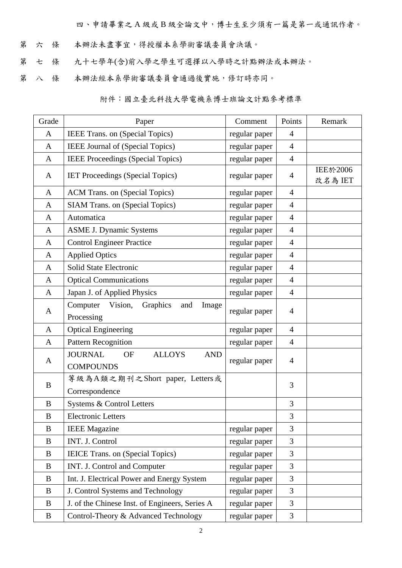四、申請畢業之 A 級或 B 級全論文中,博士生至少須有一篇是第一或通訊作者。

- 第 六 條 本辦法未盡事宜,得授權本系學術審議委員會決議。
- 第 七 條 九十七學年(含)前入學之學生可選擇以入學時之計點辦法或本辦法。
- 第 八 條 本辦法經本系學術審議委員會通過後實施,修訂時亦同。

附件:國立臺北科技大學電機系博士班論文計點參考標準

| Grade        | Paper                                                                          | Comment       | Points         | Remark                     |
|--------------|--------------------------------------------------------------------------------|---------------|----------------|----------------------------|
| A            | IEEE Trans. on (Special Topics)                                                | regular paper | 4              |                            |
| $\mathbf{A}$ | IEEE Journal of (Special Topics)                                               | regular paper | $\overline{4}$ |                            |
| $\mathbf{A}$ | IEEE Proceedings (Special Topics)                                              | regular paper | $\overline{4}$ |                            |
| A            | <b>IET Proceedings (Special Topics)</b>                                        | regular paper | $\overline{4}$ | <b>IEE於2006</b><br>改名為 IET |
| $\mathbf{A}$ | ACM Trans. on (Special Topics)                                                 | regular paper | $\overline{4}$ |                            |
| $\mathbf{A}$ | <b>SIAM Trans. on (Special Topics)</b>                                         | regular paper | $\overline{4}$ |                            |
| $\mathbf{A}$ | Automatica                                                                     | regular paper | $\overline{4}$ |                            |
| $\mathbf{A}$ | <b>ASME J. Dynamic Systems</b>                                                 | regular paper | $\overline{4}$ |                            |
| $\mathbf{A}$ | <b>Control Engineer Practice</b>                                               | regular paper | $\overline{4}$ |                            |
| A            | <b>Applied Optics</b>                                                          | regular paper | $\overline{4}$ |                            |
| $\mathbf{A}$ | Solid State Electronic                                                         | regular paper | $\overline{4}$ |                            |
| $\mathbf{A}$ | <b>Optical Communications</b>                                                  | regular paper | $\overline{4}$ |                            |
| $\mathbf{A}$ | Japan J. of Applied Physics                                                    | regular paper | $\overline{4}$ |                            |
| A            | Graphics<br>Computer<br>Vision,<br>and<br>Image<br>Processing                  | regular paper | 4              |                            |
| $\mathbf{A}$ | <b>Optical Engineering</b>                                                     | regular paper | $\overline{4}$ |                            |
| $\mathbf{A}$ | <b>Pattern Recognition</b>                                                     | regular paper | 4              |                            |
| A            | <b>JOURNAL</b><br><b>ALLOYS</b><br><b>OF</b><br><b>AND</b><br><b>COMPOUNDS</b> | regular paper | $\overline{4}$ |                            |
| B            | 等級為A類之期刊之Short paper, Letters或<br>Correspondence                               |               | 3              |                            |
| B            | Systems & Control Letters                                                      |               | 3              |                            |
| $\, {\bf B}$ | <b>Electronic Letters</b>                                                      |               | 3              |                            |
| B            | <b>IEEE</b> Magazine                                                           | regular paper | 3              |                            |
| $\bf{B}$     | INT. J. Control                                                                | regular paper | 3              |                            |
| B            | IEICE Trans. on (Special Topics)                                               | regular paper | 3              |                            |
| $\bf{B}$     | INT. J. Control and Computer                                                   | regular paper | 3              |                            |
| B            | Int. J. Electrical Power and Energy System                                     | regular paper | 3              |                            |
| $\bf{B}$     | J. Control Systems and Technology                                              | regular paper | 3              |                            |
| $\bf{B}$     | J. of the Chinese Inst. of Engineers, Series A                                 | regular paper | 3              |                            |
| B            | Control-Theory & Advanced Technology                                           | regular paper | 3              |                            |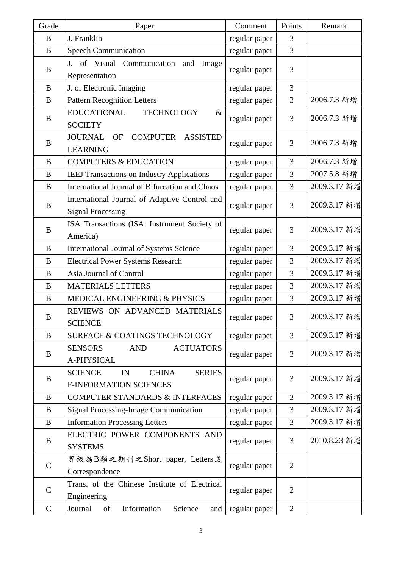| Grade            | Paper                                                                                  | Comment       | Points         | Remark       |
|------------------|----------------------------------------------------------------------------------------|---------------|----------------|--------------|
| B                | J. Franklin                                                                            | regular paper | 3              |              |
| $\bf{B}$         | <b>Speech Communication</b>                                                            | regular paper | 3              |              |
| B                | J. of Visual Communication<br>and<br>Image<br>Representation                           | regular paper | 3              |              |
| $\bf{B}$         | J. of Electronic Imaging                                                               | regular paper | 3              |              |
| $\bf{B}$         | <b>Pattern Recognition Letters</b>                                                     | regular paper | 3              | 2006.7.3 新增  |
| $\bf{B}$         | <b>EDUCATIONAL</b><br><b>TECHNOLOGY</b><br>$\&$<br><b>SOCIETY</b>                      | regular paper | 3              | 2006.7.3 新增  |
| B                | <b>COMPUTER</b><br><b>ASSISTED</b><br><b>JOURNAL</b><br><b>OF</b><br><b>LEARNING</b>   | regular paper | 3              | 2006.7.3 新增  |
| B                | <b>COMPUTERS &amp; EDUCATION</b>                                                       | regular paper | 3              | 2006.7.3 新增  |
| B                | <b>IEEJ Transactions on Industry Applications</b>                                      | regular paper | 3              | 2007.5.8 新增  |
| B                | International Journal of Bifurcation and Chaos                                         | regular paper | 3              | 2009.3.17 新增 |
| $\bf{B}$         | International Journal of Adaptive Control and<br><b>Signal Processing</b>              | regular paper | 3              | 2009.3.17 新增 |
| $\bf{B}$         | ISA Transactions (ISA: Instrument Society of<br>America)                               | regular paper | 3              | 2009.3.17 新增 |
| $\bf{B}$         | International Journal of Systems Science                                               | regular paper | 3              | 2009.3.17 新增 |
| B                | <b>Electrical Power Systems Research</b>                                               | regular paper | 3              | 2009.3.17 新增 |
| $\bf{B}$         | Asia Journal of Control                                                                | regular paper | 3              | 2009.3.17 新增 |
| $\boldsymbol{B}$ | <b>MATERIALS LETTERS</b>                                                               | regular paper | 3              | 2009.3.17 新增 |
| B                | MEDICAL ENGINEERING & PHYSICS                                                          | regular paper | 3              | 2009.3.17 新增 |
| $\bf{B}$         | REVIEWS ON ADVANCED MATERIALS<br><b>SCIENCE</b>                                        | regular paper | 3              | 2009.3.17 新增 |
| B                | SURFACE & COATINGS TECHNOLOGY                                                          | regular paper | 3              | 2009.3.17 新增 |
| B                | <b>SENSORS</b><br><b>AND</b><br><b>ACTUATORS</b><br>A-PHYSICAL                         | regular paper | 3              | 2009.3.17 新增 |
| B                | <b>SCIENCE</b><br><b>CHINA</b><br><b>SERIES</b><br>IN<br><b>F-INFORMATION SCIENCES</b> | regular paper | 3              | 2009.3.17 新增 |
| B                | <b>COMPUTER STANDARDS &amp; INTERFACES</b>                                             | regular paper | 3              | 2009.3.17 新增 |
| $\bf{B}$         | <b>Signal Processing-Image Communication</b>                                           | regular paper | 3              | 2009.3.17 新增 |
| $\bf{B}$         | <b>Information Processing Letters</b>                                                  | regular paper | 3              | 2009.3.17 新增 |
| B                | ELECTRIC POWER COMPONENTS AND<br><b>SYSTEMS</b>                                        | regular paper | 3              | 2010.8.23 新增 |
| $\mathcal{C}$    | 等級為B類之期刊之Short paper, Letters或<br>Correspondence                                       | regular paper | $\overline{2}$ |              |
| $\mathcal{C}$    | Trans. of the Chinese Institute of Electrical<br>Engineering                           | regular paper | $\overline{2}$ |              |
| $\mathbf C$      | Information<br>Science<br>Journal<br>of<br>and                                         | regular paper | $\overline{2}$ |              |